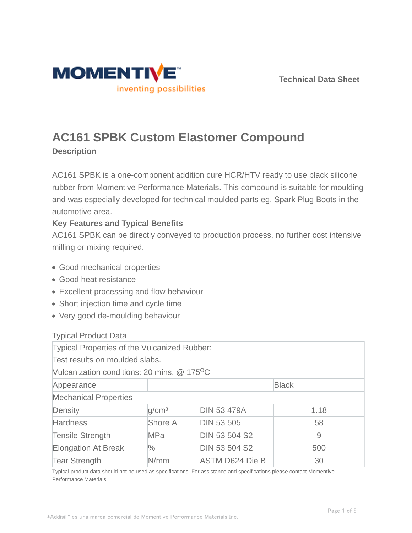



# **AC161 SPBK Custom Elastomer Compound**

**Description**

AC161 SPBK is a one-component addition cure HCR/HTV ready to use black silicone rubber from Momentive Performance Materials. This compound is suitable for moulding and was especially developed for technical moulded parts eg. Spark Plug Boots in the automotive area.

# **Key Features and Typical Benefits**

AC161 SPBK can be directly conveyed to production process, no further cost intensive milling or mixing required.

- Good mechanical properties
- Good heat resistance
- Excellent processing and flow behaviour
- Short injection time and cycle time
- Very good de-moulding behaviour

## Typical Product Data

| Typical Properties of the Vulcanized Rubber:              |                   |                        |      |  |  |
|-----------------------------------------------------------|-------------------|------------------------|------|--|--|
| Test results on moulded slabs.                            |                   |                        |      |  |  |
| Vulcanization conditions: 20 mins. $@$ 175 <sup>o</sup> C |                   |                        |      |  |  |
| Appearance                                                |                   | <b>Black</b>           |      |  |  |
| <b>Mechanical Properties</b>                              |                   |                        |      |  |  |
| Density                                                   | q/cm <sup>3</sup> | <b>DIN 53 479A</b>     | 1.18 |  |  |
| <b>Hardness</b>                                           | Shore A           | <b>DIN 53 505</b>      | 58   |  |  |
| <b>Tensile Strength</b>                                   | <b>MPa</b>        | <b>DIN 53 504 S2</b>   | 9    |  |  |
| <b>Elongation At Break</b>                                | $\%$              | <b>DIN 53 504 S2</b>   | 500  |  |  |
| <b>Tear Strength</b>                                      | N/mm              | <b>ASTM D624 Die B</b> | 30   |  |  |

Typical product data should not be used as specifications. For assistance and specifications please contact Momentive Performance Materials.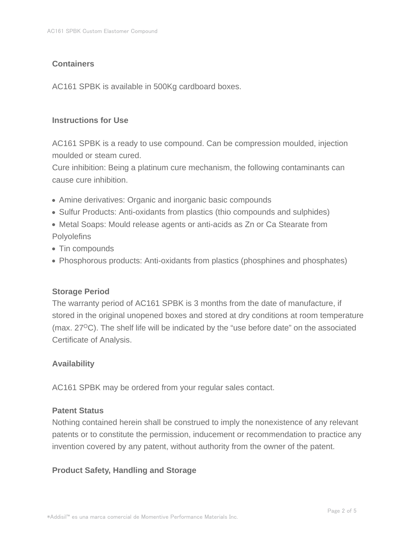## **Containers**

AC161 SPBK is available in 500Kg cardboard boxes.

### **Instructions for Use**

AC161 SPBK is a ready to use compound. Can be compression moulded, injection moulded or steam cured.

Cure inhibition: Being a platinum cure mechanism, the following contaminants can cause cure inhibition.

- Amine derivatives: Organic and inorganic basic compounds
- Sulfur Products: Anti-oxidants from plastics (thio compounds and sulphides)
- Metal Soaps: Mould release agents or anti-acids as Zn or Ca Stearate from **Polyolefins**
- Tin compounds
- Phosphorous products: Anti-oxidants from plastics (phosphines and phosphates)

## **Storage Period**

The warranty period of AC161 SPBK is 3 months from the date of manufacture, if stored in the original unopened boxes and stored at dry conditions at room temperature (max.  $27^{\circ}$ C). The shelf life will be indicated by the "use before date" on the associated Certificate of Analysis.

## **Availability**

AC161 SPBK may be ordered from your regular sales contact.

#### **Patent Status**

Nothing contained herein shall be construed to imply the nonexistence of any relevant patents or to constitute the permission, inducement or recommendation to practice any invention covered by any patent, without authority from the owner of the patent.

## **Product Safety, Handling and Storage**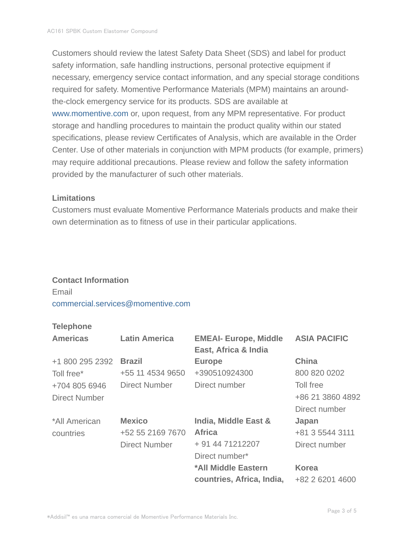Customers should review the latest Safety Data Sheet (SDS) and label for product safety information, safe handling instructions, personal protective equipment if necessary, emergency service contact information, and any special storage conditions required for safety. Momentive Performance Materials (MPM) maintains an aroundthe-clock emergency service for its products. SDS are available at www.momentive.com or, upon request, from any MPM representative. For product storage and handling procedures to maintain the product quality within our stated specifications, please review Certificates of Analysis, which are available in the Order Center. Use of other materials in conjunction with MPM products (for example, primers) may require additional precautions. Please review and follow the safety information provided by the manufacturer of such other materials.

#### **Limitations**

Customers must evaluate Momentive Performance Materials products and make their own determination as to fitness of use in their particular applications.

#### **Contact Information**

Email commercial.services@momentive.com

## **Telephone**

| <b>Americas</b>      | <b>Latin America</b> | <b>EMEAI- Europe, Middle</b><br>East, Africa & India | <b>ASIA PACIFIC</b> |
|----------------------|----------------------|------------------------------------------------------|---------------------|
| +1 800 295 2392      | <b>Brazil</b>        | <b>Europe</b>                                        | <b>China</b>        |
| Toll free*           | +55 11 4534 9650     | +390510924300                                        | 800 820 0202        |
| +704 805 6946        | <b>Direct Number</b> | Direct number                                        | Toll free           |
| <b>Direct Number</b> |                      |                                                      | +86 21 3860 4892    |
|                      |                      |                                                      | Direct number       |
| *All American        | <b>Mexico</b>        | India, Middle East &                                 | Japan               |
| countries            | +52 55 2169 7670     | <b>Africa</b>                                        | +81 3 5544 3111     |
|                      | <b>Direct Number</b> | + 91 44 71212207                                     | Direct number       |
|                      |                      | Direct number*                                       |                     |
|                      |                      | *All Middle Eastern                                  | <b>Korea</b>        |
|                      |                      | countries, Africa, India,                            | +82 2 6201 4600     |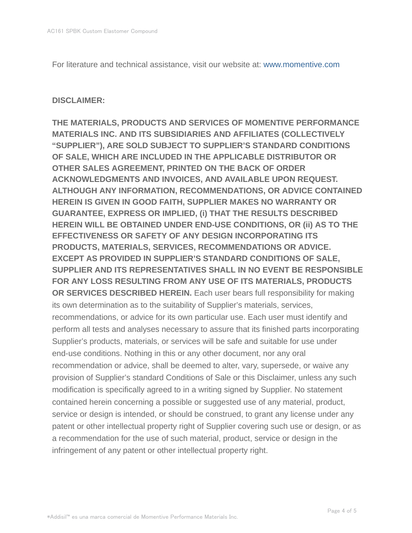For literature and technical assistance, visit our website at: www.momentive.com

#### **DISCLAIMER:**

**THE MATERIALS, PRODUCTS AND SERVICES OF MOMENTIVE PERFORMANCE MATERIALS INC. AND ITS SUBSIDIARIES AND AFFILIATES (COLLECTIVELY "SUPPLIER"), ARE SOLD SUBJECT TO SUPPLIER'S STANDARD CONDITIONS OF SALE, WHICH ARE INCLUDED IN THE APPLICABLE DISTRIBUTOR OR OTHER SALES AGREEMENT, PRINTED ON THE BACK OF ORDER ACKNOWLEDGMENTS AND INVOICES, AND AVAILABLE UPON REQUEST. ALTHOUGH ANY INFORMATION, RECOMMENDATIONS, OR ADVICE CONTAINED HEREIN IS GIVEN IN GOOD FAITH, SUPPLIER MAKES NO WARRANTY OR GUARANTEE, EXPRESS OR IMPLIED, (i) THAT THE RESULTS DESCRIBED HEREIN WILL BE OBTAINED UNDER END-USE CONDITIONS, OR (ii) AS TO THE EFFECTIVENESS OR SAFETY OF ANY DESIGN INCORPORATING ITS PRODUCTS, MATERIALS, SERVICES, RECOMMENDATIONS OR ADVICE. EXCEPT AS PROVIDED IN SUPPLIER'S STANDARD CONDITIONS OF SALE, SUPPLIER AND ITS REPRESENTATIVES SHALL IN NO EVENT BE RESPONSIBLE FOR ANY LOSS RESULTING FROM ANY USE OF ITS MATERIALS, PRODUCTS OR SERVICES DESCRIBED HEREIN.** Each user bears full responsibility for making its own determination as to the suitability of Supplier's materials, services, recommendations, or advice for its own particular use. Each user must identify and perform all tests and analyses necessary to assure that its finished parts incorporating Supplier's products, materials, or services will be safe and suitable for use under end-use conditions. Nothing in this or any other document, nor any oral recommendation or advice, shall be deemed to alter, vary, supersede, or waive any provision of Supplier's standard Conditions of Sale or this Disclaimer, unless any such modification is specifically agreed to in a writing signed by Supplier. No statement contained herein concerning a possible or suggested use of any material, product, service or design is intended, or should be construed, to grant any license under any patent or other intellectual property right of Supplier covering such use or design, or as a recommendation for the use of such material, product, service or design in the infringement of any patent or other intellectual property right.